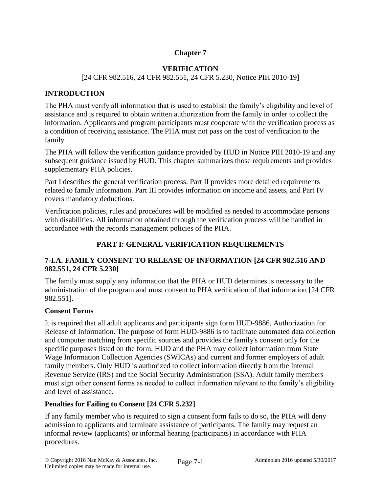# **Chapter 7**

## **VERIFICATION**

### [24 CFR 982.516, 24 CFR 982.551, 24 CFR 5.230, Notice PIH 2010-19]

# **INTRODUCTION**

The PHA must verify all information that is used to establish the family's eligibility and level of assistance and is required to obtain written authorization from the family in order to collect the information. Applicants and program participants must cooperate with the verification process as a condition of receiving assistance. The PHA must not pass on the cost of verification to the family.

The PHA will follow the verification guidance provided by HUD in Notice PIH 2010-19 and any subsequent guidance issued by HUD. This chapter summarizes those requirements and provides supplementary PHA policies.

Part I describes the general verification process. Part II provides more detailed requirements related to family information. Part III provides information on income and assets, and Part IV covers mandatory deductions.

Verification policies, rules and procedures will be modified as needed to accommodate persons with disabilities. All information obtained through the verification process will be handled in accordance with the records management policies of the PHA.

## **PART I: GENERAL VERIFICATION REQUIREMENTS**

# **7-I.A. FAMILY CONSENT TO RELEASE OF INFORMATION [24 CFR 982.516 AND 982.551, 24 CFR 5.230]**

The family must supply any information that the PHA or HUD determines is necessary to the administration of the program and must consent to PHA verification of that information [24 CFR 982.551].

### **Consent Forms**

It is required that all adult applicants and participants sign form HUD-9886, Authorization for Release of Information. The purpose of form HUD-9886 is to facilitate automated data collection and computer matching from specific sources and provides the family's consent only for the specific purposes listed on the form. HUD and the PHA may collect information from State Wage Information Collection Agencies (SWICAs) and current and former employers of adult family members. Only HUD is authorized to collect information directly from the Internal Revenue Service (IRS) and the Social Security Administration (SSA). Adult family members must sign other consent forms as needed to collect information relevant to the family's eligibility and level of assistance.

### **Penalties for Failing to Consent [24 CFR 5.232]**

If any family member who is required to sign a consent form fails to do so, the PHA will deny admission to applicants and terminate assistance of participants. The family may request an informal review (applicants) or informal hearing (participants) in accordance with PHA procedures.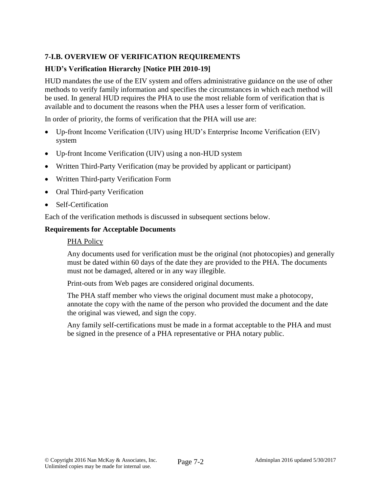# **7-I.B. OVERVIEW OF VERIFICATION REQUIREMENTS**

## **HUD's Verification Hierarchy [Notice PIH 2010-19]**

HUD mandates the use of the EIV system and offers administrative guidance on the use of other methods to verify family information and specifies the circumstances in which each method will be used. In general HUD requires the PHA to use the most reliable form of verification that is available and to document the reasons when the PHA uses a lesser form of verification.

In order of priority, the forms of verification that the PHA will use are:

- Up-front Income Verification (UIV) using HUD's Enterprise Income Verification (EIV) system
- Up-front Income Verification (UIV) using a non-HUD system
- Written Third-Party Verification (may be provided by applicant or participant)
- Written Third-party Verification Form
- Oral Third-party Verification
- Self-Certification

Each of the verification methods is discussed in subsequent sections below.

#### **Requirements for Acceptable Documents**

#### PHA Policy

Any documents used for verification must be the original (not photocopies) and generally must be dated within 60 days of the date they are provided to the PHA. The documents must not be damaged, altered or in any way illegible.

Print-outs from Web pages are considered original documents.

The PHA staff member who views the original document must make a photocopy, annotate the copy with the name of the person who provided the document and the date the original was viewed, and sign the copy.

Any family self-certifications must be made in a format acceptable to the PHA and must be signed in the presence of a PHA representative or PHA notary public.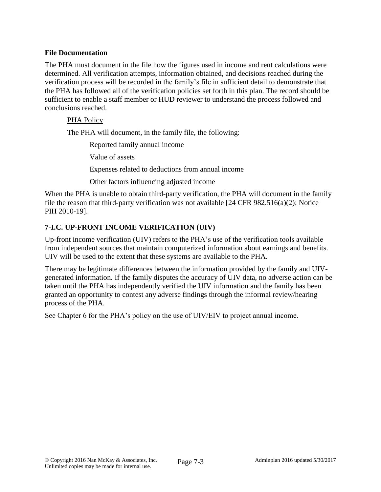### **File Documentation**

The PHA must document in the file how the figures used in income and rent calculations were determined. All verification attempts, information obtained, and decisions reached during the verification process will be recorded in the family's file in sufficient detail to demonstrate that the PHA has followed all of the verification policies set forth in this plan. The record should be sufficient to enable a staff member or HUD reviewer to understand the process followed and conclusions reached.

### PHA Policy

The PHA will document, in the family file, the following:

Reported family annual income

Value of assets

Expenses related to deductions from annual income

Other factors influencing adjusted income

When the PHA is unable to obtain third-party verification, the PHA will document in the family file the reason that third-party verification was not available [24 CFR 982.516(a)(2); Notice PIH 2010-19].

# **7-I.C. UP-FRONT INCOME VERIFICATION (UIV)**

Up-front income verification (UIV) refers to the PHA's use of the verification tools available from independent sources that maintain computerized information about earnings and benefits. UIV will be used to the extent that these systems are available to the PHA.

There may be legitimate differences between the information provided by the family and UIVgenerated information. If the family disputes the accuracy of UIV data, no adverse action can be taken until the PHA has independently verified the UIV information and the family has been granted an opportunity to contest any adverse findings through the informal review/hearing process of the PHA.

See Chapter 6 for the PHA's policy on the use of UIV/EIV to project annual income.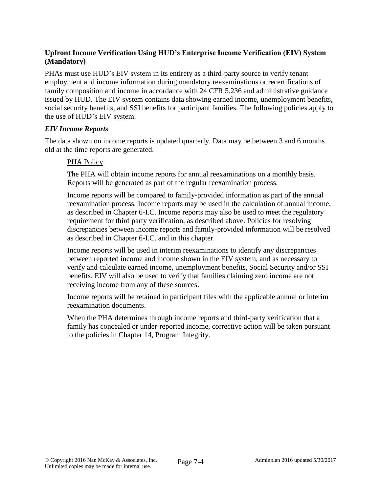# **Upfront Income Verification Using HUD's Enterprise Income Verification (EIV) System (Mandatory)**

PHAs must use HUD's EIV system in its entirety as a third-party source to verify tenant employment and income information during mandatory reexaminations or recertifications of family composition and income in accordance with 24 CFR 5.236 and administrative guidance issued by HUD. The EIV system contains data showing earned income, unemployment benefits, social security benefits, and SSI benefits for participant families. The following policies apply to the use of HUD's EIV system.

### *EIV Income Reports*

The data shown on income reports is updated quarterly. Data may be between 3 and 6 months old at the time reports are generated.

#### PHA Policy

The PHA will obtain income reports for annual reexaminations on a monthly basis. Reports will be generated as part of the regular reexamination process.

Income reports will be compared to family-provided information as part of the annual reexamination process. Income reports may be used in the calculation of annual income, as described in Chapter 6-I.C. Income reports may also be used to meet the regulatory requirement for third party verification, as described above. Policies for resolving discrepancies between income reports and family-provided information will be resolved as described in Chapter 6-I.C. and in this chapter.

Income reports will be used in interim reexaminations to identify any discrepancies between reported income and income shown in the EIV system, and as necessary to verify and calculate earned income, unemployment benefits, Social Security and/or SSI benefits. EIV will also be used to verify that families claiming zero income are not receiving income from any of these sources.

Income reports will be retained in participant files with the applicable annual or interim reexamination documents.

When the PHA determines through income reports and third-party verification that a family has concealed or under-reported income, corrective action will be taken pursuant to the policies in Chapter 14, Program Integrity.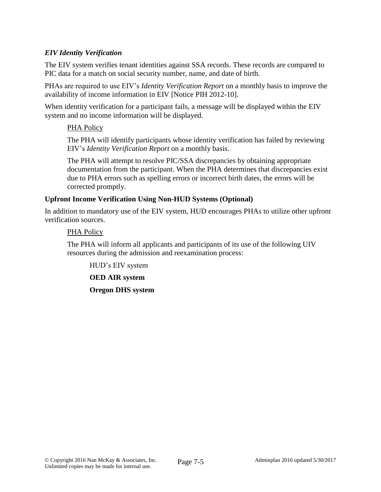## *EIV Identity Verification*

The EIV system verifies tenant identities against SSA records. These records are compared to PIC data for a match on social security number, name, and date of birth.

PHAs are required to use EIV's *Identity Verification Report* on a monthly basis to improve the availability of income information in EIV [Notice PIH 2012-10].

When identity verification for a participant fails, a message will be displayed within the EIV system and no income information will be displayed.

#### PHA Policy

The PHA will identify participants whose identity verification has failed by reviewing EIV's *Identity Verification Report* on a monthly basis.

The PHA will attempt to resolve PIC/SSA discrepancies by obtaining appropriate documentation from the participant. When the PHA determines that discrepancies exist due to PHA errors such as spelling errors or incorrect birth dates, the errors will be corrected promptly.

#### **Upfront Income Verification Using Non-HUD Systems (Optional)**

In addition to mandatory use of the EIV system, HUD encourages PHAs to utilize other upfront verification sources.

#### PHA Policy

The PHA will inform all applicants and participants of its use of the following UIV resources during the admission and reexamination process:

HUD's EIV system

**OED AIR system**

**Oregon DHS system**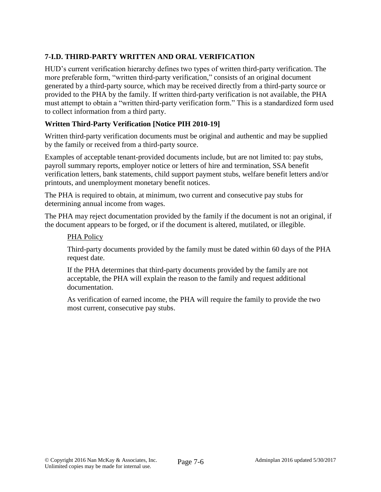# **7-I.D. THIRD-PARTY WRITTEN AND ORAL VERIFICATION**

HUD's current verification hierarchy defines two types of written third-party verification. The more preferable form, "written third-party verification," consists of an original document generated by a third-party source, which may be received directly from a third-party source or provided to the PHA by the family. If written third-party verification is not available, the PHA must attempt to obtain a "written third-party verification form." This is a standardized form used to collect information from a third party.

# **Written Third-Party Verification [Notice PIH 2010-19]**

Written third-party verification documents must be original and authentic and may be supplied by the family or received from a third-party source.

Examples of acceptable tenant-provided documents include, but are not limited to: pay stubs, payroll summary reports, employer notice or letters of hire and termination, SSA benefit verification letters, bank statements, child support payment stubs, welfare benefit letters and/or printouts, and unemployment monetary benefit notices.

The PHA is required to obtain, at minimum, two current and consecutive pay stubs for determining annual income from wages.

The PHA may reject documentation provided by the family if the document is not an original, if the document appears to be forged, or if the document is altered, mutilated, or illegible.

### PHA Policy

Third-party documents provided by the family must be dated within 60 days of the PHA request date.

If the PHA determines that third-party documents provided by the family are not acceptable, the PHA will explain the reason to the family and request additional documentation.

As verification of earned income, the PHA will require the family to provide the two most current, consecutive pay stubs.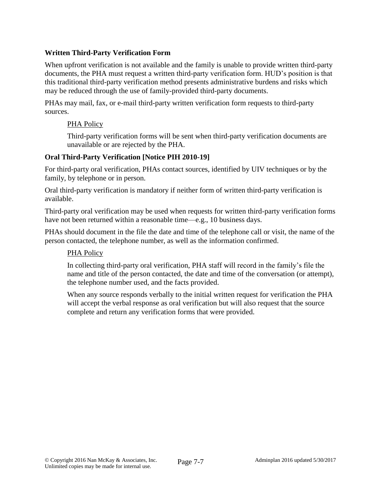# **Written Third-Party Verification Form**

When upfront verification is not available and the family is unable to provide written third-party documents, the PHA must request a written third-party verification form. HUD's position is that this traditional third-party verification method presents administrative burdens and risks which may be reduced through the use of family-provided third-party documents.

PHAs may mail, fax, or e-mail third-party written verification form requests to third-party sources.

#### PHA Policy

Third-party verification forms will be sent when third-party verification documents are unavailable or are rejected by the PHA.

#### **Oral Third-Party Verification [Notice PIH 2010-19]**

For third-party oral verification, PHAs contact sources, identified by UIV techniques or by the family, by telephone or in person.

Oral third-party verification is mandatory if neither form of written third-party verification is available.

Third-party oral verification may be used when requests for written third-party verification forms have not been returned within a reasonable time—e.g., 10 business days.

PHAs should document in the file the date and time of the telephone call or visit, the name of the person contacted, the telephone number, as well as the information confirmed.

### PHA Policy

In collecting third-party oral verification, PHA staff will record in the family's file the name and title of the person contacted, the date and time of the conversation (or attempt), the telephone number used, and the facts provided.

When any source responds verbally to the initial written request for verification the PHA will accept the verbal response as oral verification but will also request that the source complete and return any verification forms that were provided.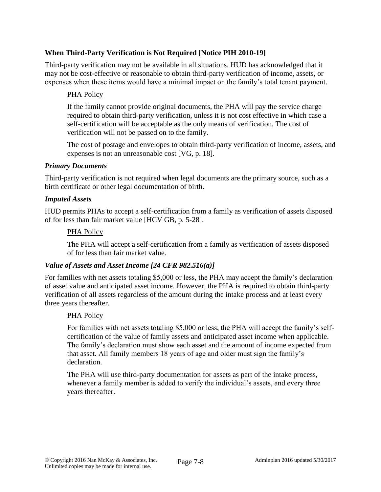# **When Third-Party Verification is Not Required [Notice PIH 2010-19]**

Third-party verification may not be available in all situations. HUD has acknowledged that it may not be cost-effective or reasonable to obtain third-party verification of income, assets, or expenses when these items would have a minimal impact on the family's total tenant payment.

### PHA Policy

If the family cannot provide original documents, the PHA will pay the service charge required to obtain third-party verification, unless it is not cost effective in which case a self-certification will be acceptable as the only means of verification. The cost of verification will not be passed on to the family.

The cost of postage and envelopes to obtain third-party verification of income, assets, and expenses is not an unreasonable cost [VG, p. 18].

#### *Primary Documents*

Third-party verification is not required when legal documents are the primary source, such as a birth certificate or other legal documentation of birth.

#### *Imputed Assets*

HUD permits PHAs to accept a self-certification from a family as verification of assets disposed of for less than fair market value [HCV GB, p. 5-28].

#### PHA Policy

The PHA will accept a self-certification from a family as verification of assets disposed of for less than fair market value.

### *Value of Assets and Asset Income [24 CFR 982.516(a)]*

For families with net assets totaling \$5,000 or less, the PHA may accept the family's declaration of asset value and anticipated asset income. However, the PHA is required to obtain third-party verification of all assets regardless of the amount during the intake process and at least every three years thereafter.

#### PHA Policy

For families with net assets totaling \$5,000 or less, the PHA will accept the family's selfcertification of the value of family assets and anticipated asset income when applicable. The family's declaration must show each asset and the amount of income expected from that asset. All family members 18 years of age and older must sign the family's declaration.

The PHA will use third-party documentation for assets as part of the intake process, whenever a family member is added to verify the individual's assets, and every three years thereafter.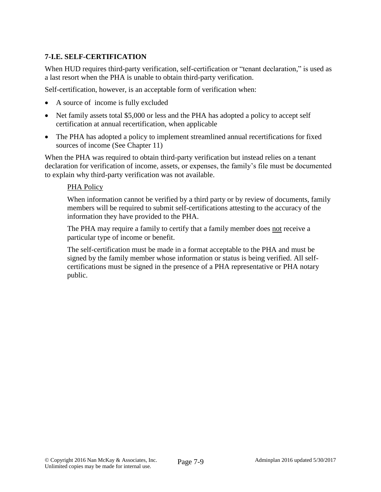# **7-I.E. SELF-CERTIFICATION**

When HUD requires third-party verification, self-certification or "tenant declaration," is used as a last resort when the PHA is unable to obtain third-party verification.

Self-certification, however, is an acceptable form of verification when:

- A source of income is fully excluded
- Net family assets total \$5,000 or less and the PHA has adopted a policy to accept self certification at annual recertification, when applicable
- The PHA has adopted a policy to implement streamlined annual recertifications for fixed sources of income (See Chapter 11)

When the PHA was required to obtain third-party verification but instead relies on a tenant declaration for verification of income, assets, or expenses, the family's file must be documented to explain why third-party verification was not available.

### PHA Policy

When information cannot be verified by a third party or by review of documents, family members will be required to submit self-certifications attesting to the accuracy of the information they have provided to the PHA.

The PHA may require a family to certify that a family member does not receive a particular type of income or benefit.

The self-certification must be made in a format acceptable to the PHA and must be signed by the family member whose information or status is being verified. All selfcertifications must be signed in the presence of a PHA representative or PHA notary public.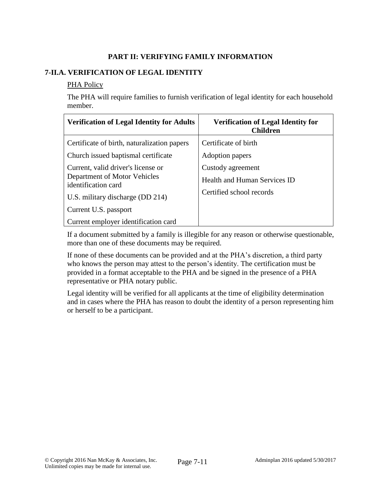# **PART II: VERIFYING FAMILY INFORMATION**

# **7-II.A. VERIFICATION OF LEGAL IDENTITY**

#### PHA Policy

The PHA will require families to furnish verification of legal identity for each household member.

| <b>Verification of Legal Identity for Adults</b>                                          | <b>Verification of Legal Identity for</b><br><b>Children</b> |
|-------------------------------------------------------------------------------------------|--------------------------------------------------------------|
| Certificate of birth, naturalization papers                                               | Certificate of birth                                         |
| Church issued baptismal certificate                                                       | Adoption papers                                              |
| Current, valid driver's license or<br>Department of Motor Vehicles<br>identification card | Custody agreement<br>Health and Human Services ID            |
| U.S. military discharge (DD 214)                                                          | Certified school records                                     |
| Current U.S. passport                                                                     |                                                              |
| Current employer identification card                                                      |                                                              |

If a document submitted by a family is illegible for any reason or otherwise questionable, more than one of these documents may be required.

If none of these documents can be provided and at the PHA's discretion, a third party who knows the person may attest to the person's identity. The certification must be provided in a format acceptable to the PHA and be signed in the presence of a PHA representative or PHA notary public.

Legal identity will be verified for all applicants at the time of eligibility determination and in cases where the PHA has reason to doubt the identity of a person representing him or herself to be a participant.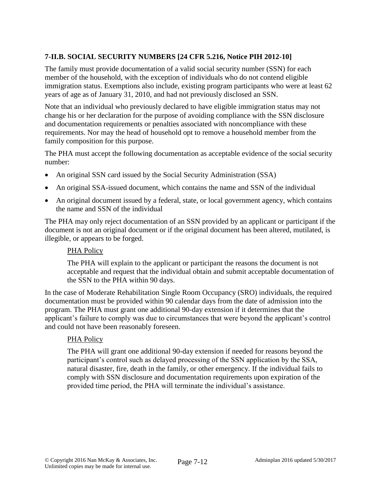# **7-II.B. SOCIAL SECURITY NUMBERS [24 CFR 5.216, Notice PIH 2012-10]**

The family must provide documentation of a valid social security number (SSN) for each member of the household, with the exception of individuals who do not contend eligible immigration status. Exemptions also include, existing program participants who were at least 62 years of age as of January 31, 2010, and had not previously disclosed an SSN.

Note that an individual who previously declared to have eligible immigration status may not change his or her declaration for the purpose of avoiding compliance with the SSN disclosure and documentation requirements or penalties associated with noncompliance with these requirements. Nor may the head of household opt to remove a household member from the family composition for this purpose.

The PHA must accept the following documentation as acceptable evidence of the social security number:

- An original SSN card issued by the Social Security Administration (SSA)
- An original SSA-issued document, which contains the name and SSN of the individual
- An original document issued by a federal, state, or local government agency, which contains the name and SSN of the individual

The PHA may only reject documentation of an SSN provided by an applicant or participant if the document is not an original document or if the original document has been altered, mutilated, is illegible, or appears to be forged.

### PHA Policy

The PHA will explain to the applicant or participant the reasons the document is not acceptable and request that the individual obtain and submit acceptable documentation of the SSN to the PHA within 90 days.

In the case of Moderate Rehabilitation Single Room Occupancy (SRO) individuals, the required documentation must be provided within 90 calendar days from the date of admission into the program. The PHA must grant one additional 90-day extension if it determines that the applicant's failure to comply was due to circumstances that were beyond the applicant's control and could not have been reasonably foreseen.

### PHA Policy

The PHA will grant one additional 90-day extension if needed for reasons beyond the participant's control such as delayed processing of the SSN application by the SSA, natural disaster, fire, death in the family, or other emergency. If the individual fails to comply with SSN disclosure and documentation requirements upon expiration of the provided time period, the PHA will terminate the individual's assistance.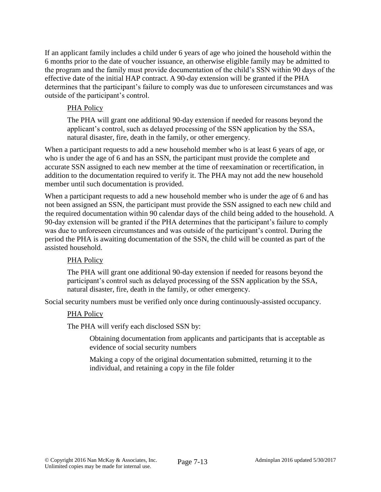If an applicant family includes a child under 6 years of age who joined the household within the 6 months prior to the date of voucher issuance, an otherwise eligible family may be admitted to the program and the family must provide documentation of the child's SSN within 90 days of the effective date of the initial HAP contract. A 90-day extension will be granted if the PHA determines that the participant's failure to comply was due to unforeseen circumstances and was outside of the participant's control.

## PHA Policy

The PHA will grant one additional 90-day extension if needed for reasons beyond the applicant's control, such as delayed processing of the SSN application by the SSA, natural disaster, fire, death in the family, or other emergency.

When a participant requests to add a new household member who is at least 6 years of age, or who is under the age of 6 and has an SSN, the participant must provide the complete and accurate SSN assigned to each new member at the time of reexamination or recertification, in addition to the documentation required to verify it. The PHA may not add the new household member until such documentation is provided.

When a participant requests to add a new household member who is under the age of 6 and has not been assigned an SSN, the participant must provide the SSN assigned to each new child and the required documentation within 90 calendar days of the child being added to the household. A 90-day extension will be granted if the PHA determines that the participant's failure to comply was due to unforeseen circumstances and was outside of the participant's control. During the period the PHA is awaiting documentation of the SSN, the child will be counted as part of the assisted household.

### PHA Policy

The PHA will grant one additional 90-day extension if needed for reasons beyond the participant's control such as delayed processing of the SSN application by the SSA, natural disaster, fire, death in the family, or other emergency.

Social security numbers must be verified only once during continuously-assisted occupancy.

### PHA Policy

The PHA will verify each disclosed SSN by:

Obtaining documentation from applicants and participants that is acceptable as evidence of social security numbers

Making a copy of the original documentation submitted, returning it to the individual, and retaining a copy in the file folder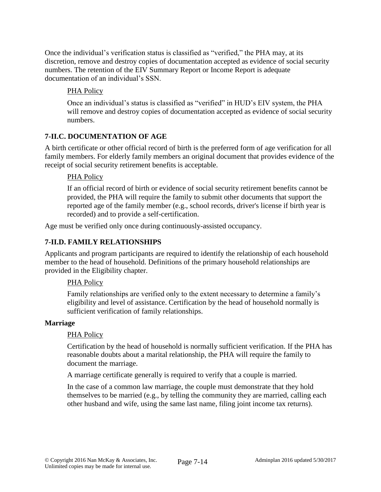Once the individual's verification status is classified as "verified," the PHA may, at its discretion, remove and destroy copies of documentation accepted as evidence of social security numbers. The retention of the EIV Summary Report or Income Report is adequate documentation of an individual's SSN.

# PHA Policy

Once an individual's status is classified as "verified" in HUD's EIV system, the PHA will remove and destroy copies of documentation accepted as evidence of social security numbers.

# **7-II.C. DOCUMENTATION OF AGE**

A birth certificate or other official record of birth is the preferred form of age verification for all family members. For elderly family members an original document that provides evidence of the receipt of social security retirement benefits is acceptable.

# PHA Policy

If an official record of birth or evidence of social security retirement benefits cannot be provided, the PHA will require the family to submit other documents that support the reported age of the family member (e.g., school records, driver's license if birth year is recorded) and to provide a self-certification.

Age must be verified only once during continuously-assisted occupancy.

# **7-II.D. FAMILY RELATIONSHIPS**

Applicants and program participants are required to identify the relationship of each household member to the head of household. Definitions of the primary household relationships are provided in the Eligibility chapter.

# PHA Policy

Family relationships are verified only to the extent necessary to determine a family's eligibility and level of assistance. Certification by the head of household normally is sufficient verification of family relationships.

# **Marriage**

# PHA Policy

Certification by the head of household is normally sufficient verification. If the PHA has reasonable doubts about a marital relationship, the PHA will require the family to document the marriage.

A marriage certificate generally is required to verify that a couple is married.

In the case of a common law marriage, the couple must demonstrate that they hold themselves to be married (e.g., by telling the community they are married, calling each other husband and wife, using the same last name, filing joint income tax returns).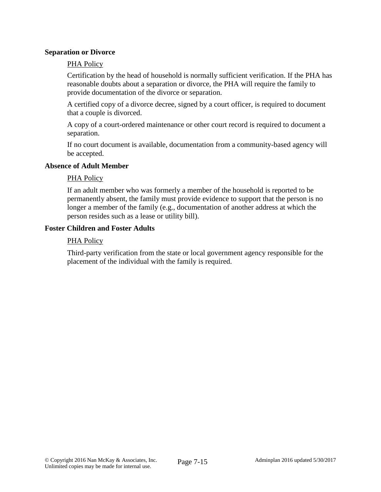#### **Separation or Divorce**

#### PHA Policy

Certification by the head of household is normally sufficient verification. If the PHA has reasonable doubts about a separation or divorce, the PHA will require the family to provide documentation of the divorce or separation.

A certified copy of a divorce decree, signed by a court officer, is required to document that a couple is divorced.

A copy of a court-ordered maintenance or other court record is required to document a separation.

If no court document is available, documentation from a community-based agency will be accepted.

#### **Absence of Adult Member**

#### PHA Policy

If an adult member who was formerly a member of the household is reported to be permanently absent, the family must provide evidence to support that the person is no longer a member of the family (e.g., documentation of another address at which the person resides such as a lease or utility bill).

#### **Foster Children and Foster Adults**

#### PHA Policy

Third-party verification from the state or local government agency responsible for the placement of the individual with the family is required.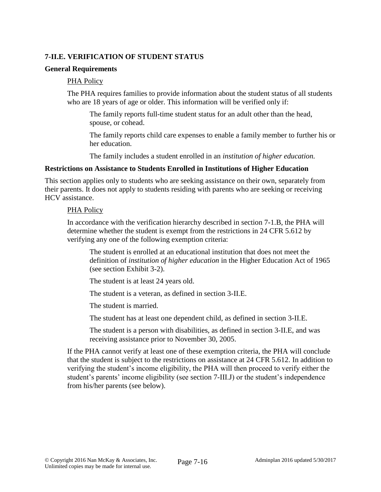## **7-II.E. VERIFICATION OF STUDENT STATUS**

#### **General Requirements**

#### PHA Policy

The PHA requires families to provide information about the student status of all students who are 18 years of age or older. This information will be verified only if:

The family reports full-time student status for an adult other than the head, spouse, or cohead.

The family reports child care expenses to enable a family member to further his or her education.

The family includes a student enrolled in an *institution of higher education.*

#### **Restrictions on Assistance to Students Enrolled in Institutions of Higher Education**

This section applies only to students who are seeking assistance on their own, separately from their parents. It does not apply to students residing with parents who are seeking or receiving HCV assistance.

#### PHA Policy

In accordance with the verification hierarchy described in section 7-1.B, the PHA will determine whether the student is exempt from the restrictions in 24 CFR 5.612 by verifying any one of the following exemption criteria:

The student is enrolled at an educational institution that does not meet the definition of *institution of higher education* in the Higher Education Act of 1965 (see section Exhibit 3-2).

The student is at least 24 years old.

The student is a veteran, as defined in section 3-II.E.

The student is married.

The student has at least one dependent child, as defined in section 3-II.E.

The student is a person with disabilities, as defined in section 3-II.E, and was receiving assistance prior to November 30, 2005.

If the PHA cannot verify at least one of these exemption criteria, the PHA will conclude that the student is subject to the restrictions on assistance at 24 CFR 5.612. In addition to verifying the student's income eligibility, the PHA will then proceed to verify either the student's parents' income eligibility (see section 7-III.J) or the student's independence from his/her parents (see below).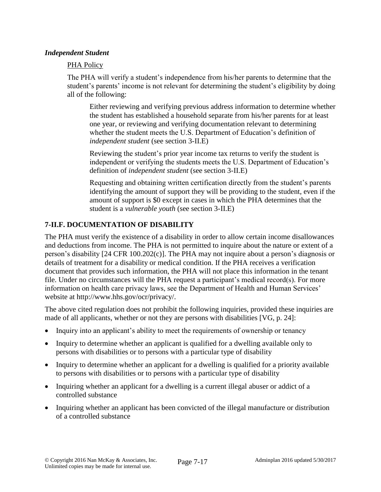### *Independent Student*

#### PHA Policy

The PHA will verify a student's independence from his/her parents to determine that the student's parents' income is not relevant for determining the student's eligibility by doing all of the following:

Either reviewing and verifying previous address information to determine whether the student has established a household separate from his/her parents for at least one year, or reviewing and verifying documentation relevant to determining whether the student meets the U.S. Department of Education's definition of *independent student* (see section 3-II.E)

Reviewing the student's prior year income tax returns to verify the student is independent or verifying the students meets the U.S. Department of Education's definition of *independent student* (see section 3-II.E)

Requesting and obtaining written certification directly from the student's parents identifying the amount of support they will be providing to the student, even if the amount of support is \$0 except in cases in which the PHA determines that the student is a *vulnerable youth* (see section 3-II.E)

### **7-II.F. DOCUMENTATION OF DISABILITY**

The PHA must verify the existence of a disability in order to allow certain income disallowances and deductions from income. The PHA is not permitted to inquire about the nature or extent of a person's disability [24 CFR 100.202(c)]. The PHA may not inquire about a person's diagnosis or details of treatment for a disability or medical condition. If the PHA receives a verification document that provides such information, the PHA will not place this information in the tenant file. Under no circumstances will the PHA request a participant's medical record(s). For more information on health care privacy laws, see the Department of Health and Human Services' website at http://www.hhs.gov/ocr/privacy/.

The above cited regulation does not prohibit the following inquiries, provided these inquiries are made of all applicants, whether or not they are persons with disabilities [VG, p. 24]:

- Inquiry into an applicant's ability to meet the requirements of ownership or tenancy
- Inquiry to determine whether an applicant is qualified for a dwelling available only to persons with disabilities or to persons with a particular type of disability
- Inquiry to determine whether an applicant for a dwelling is qualified for a priority available to persons with disabilities or to persons with a particular type of disability
- Inquiring whether an applicant for a dwelling is a current illegal abuser or addict of a controlled substance
- Inquiring whether an applicant has been convicted of the illegal manufacture or distribution of a controlled substance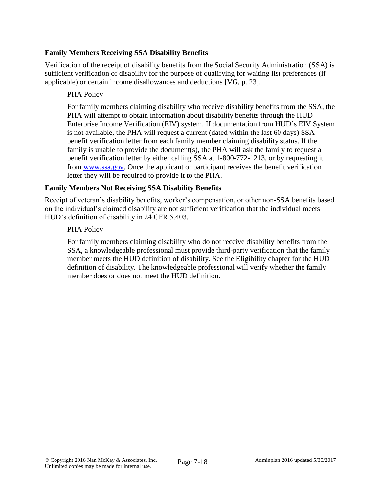### **Family Members Receiving SSA Disability Benefits**

Verification of the receipt of disability benefits from the Social Security Administration (SSA) is sufficient verification of disability for the purpose of qualifying for waiting list preferences (if applicable) or certain income disallowances and deductions [VG, p. 23].

# PHA Policy

For family members claiming disability who receive disability benefits from the SSA, the PHA will attempt to obtain information about disability benefits through the HUD Enterprise Income Verification (EIV) system. If documentation from HUD's EIV System is not available, the PHA will request a current (dated within the last 60 days) SSA benefit verification letter from each family member claiming disability status. If the family is unable to provide the document(s), the PHA will ask the family to request a benefit verification letter by either calling SSA at 1-800-772-1213, or by requesting it from [www.ssa.gov.](http://www.ssa.gov/) Once the applicant or participant receives the benefit verification letter they will be required to provide it to the PHA.

# **Family Members Not Receiving SSA Disability Benefits**

Receipt of veteran's disability benefits, worker's compensation, or other non-SSA benefits based on the individual's claimed disability are not sufficient verification that the individual meets HUD's definition of disability in 24 CFR 5.403.

### PHA Policy

For family members claiming disability who do not receive disability benefits from the SSA, a knowledgeable professional must provide third-party verification that the family member meets the HUD definition of disability. See the Eligibility chapter for the HUD definition of disability. The knowledgeable professional will verify whether the family member does or does not meet the HUD definition.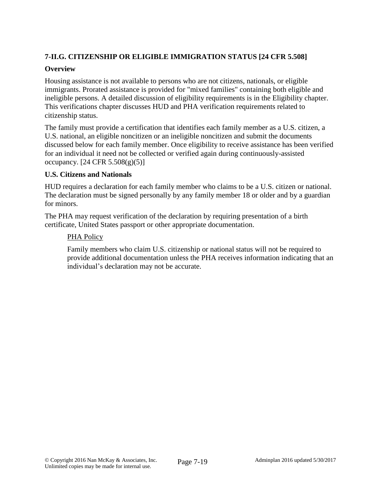# **7-II.G. CITIZENSHIP OR ELIGIBLE IMMIGRATION STATUS [24 CFR 5.508]**

## **Overview**

Housing assistance is not available to persons who are not citizens, nationals, or eligible immigrants. Prorated assistance is provided for "mixed families" containing both eligible and ineligible persons. A detailed discussion of eligibility requirements is in the Eligibility chapter. This verifications chapter discusses HUD and PHA verification requirements related to citizenship status.

The family must provide a certification that identifies each family member as a U.S. citizen, a U.S. national, an eligible noncitizen or an ineligible noncitizen and submit the documents discussed below for each family member. Once eligibility to receive assistance has been verified for an individual it need not be collected or verified again during continuously-assisted occupancy.  $[24 \text{ CFR } 5.508(g)(5)]$ 

### **U.S. Citizens and Nationals**

HUD requires a declaration for each family member who claims to be a U.S. citizen or national. The declaration must be signed personally by any family member 18 or older and by a guardian for minors.

The PHA may request verification of the declaration by requiring presentation of a birth certificate, United States passport or other appropriate documentation.

# PHA Policy

Family members who claim U.S. citizenship or national status will not be required to provide additional documentation unless the PHA receives information indicating that an individual's declaration may not be accurate.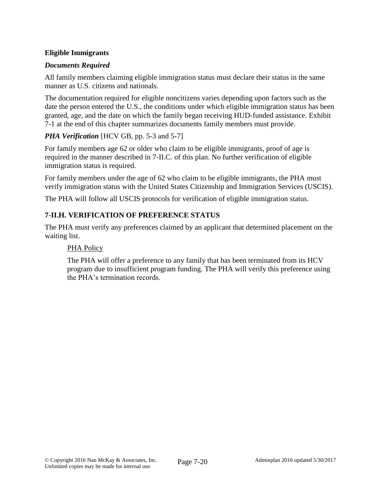# **Eligible Immigrants**

# *Documents Required*

All family members claiming eligible immigration status must declare their status in the same manner as U.S. citizens and nationals.

The documentation required for eligible noncitizens varies depending upon factors such as the date the person entered the U.S., the conditions under which eligible immigration status has been granted, age, and the date on which the family began receiving HUD-funded assistance. Exhibit 7-1 at the end of this chapter summarizes documents family members must provide.

# *PHA Verification* [HCV GB, pp. 5-3 and 5-7]

For family members age 62 or older who claim to be eligible immigrants, proof of age is required in the manner described in 7-II.C. of this plan. No further verification of eligible immigration status is required.

For family members under the age of 62 who claim to be eligible immigrants, the PHA must verify immigration status with the United States Citizenship and Immigration Services (USCIS).

The PHA will follow all USCIS protocols for verification of eligible immigration status.

# **7-II.H. VERIFICATION OF PREFERENCE STATUS**

The PHA must verify any preferences claimed by an applicant that determined placement on the waiting list.

### PHA Policy

The PHA will offer a preference to any family that has been terminated from its HCV program due to insufficient program funding. The PHA will verify this preference using the PHA's termination records.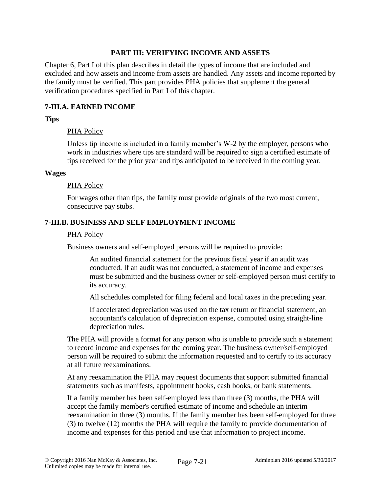#### **PART III: VERIFYING INCOME AND ASSETS**

Chapter 6, Part I of this plan describes in detail the types of income that are included and excluded and how assets and income from assets are handled. Any assets and income reported by the family must be verified. This part provides PHA policies that supplement the general verification procedures specified in Part I of this chapter.

### **7-III.A. EARNED INCOME**

#### **Tips**

#### PHA Policy

Unless tip income is included in a family member's W-2 by the employer, persons who work in industries where tips are standard will be required to sign a certified estimate of tips received for the prior year and tips anticipated to be received in the coming year.

#### **Wages**

#### PHA Policy

For wages other than tips, the family must provide originals of the two most current, consecutive pay stubs.

#### **7-III.B. BUSINESS AND SELF EMPLOYMENT INCOME**

#### PHA Policy

Business owners and self-employed persons will be required to provide:

An audited financial statement for the previous fiscal year if an audit was conducted. If an audit was not conducted, a statement of income and expenses must be submitted and the business owner or self-employed person must certify to its accuracy.

All schedules completed for filing federal and local taxes in the preceding year.

If accelerated depreciation was used on the tax return or financial statement, an accountant's calculation of depreciation expense, computed using straight-line depreciation rules.

The PHA will provide a format for any person who is unable to provide such a statement to record income and expenses for the coming year. The business owner/self-employed person will be required to submit the information requested and to certify to its accuracy at all future reexaminations.

At any reexamination the PHA may request documents that support submitted financial statements such as manifests, appointment books, cash books, or bank statements.

If a family member has been self-employed less than three (3) months, the PHA will accept the family member's certified estimate of income and schedule an interim reexamination in three (3) months. If the family member has been self-employed for three (3) to twelve (12) months the PHA will require the family to provide documentation of income and expenses for this period and use that information to project income.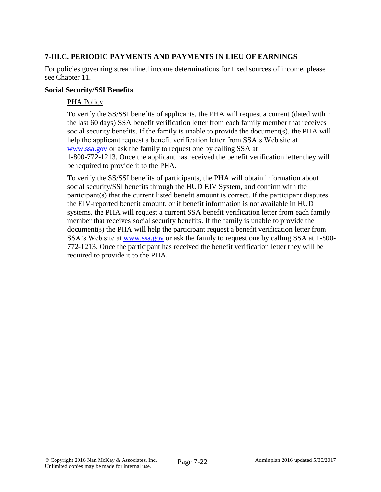# **7-III.C. PERIODIC PAYMENTS AND PAYMENTS IN LIEU OF EARNINGS**

For policies governing streamlined income determinations for fixed sources of income, please see Chapter 11.

#### **Social Security/SSI Benefits**

### PHA Policy

To verify the SS/SSI benefits of applicants, the PHA will request a current (dated within the last 60 days) SSA benefit verification letter from each family member that receives social security benefits. If the family is unable to provide the document(s), the PHA will [help](http://help/) the applicant request a benefit verification letter from SSA's Web site at [www.ssa.gov](http://www.ssa.gov/) or ask the family to request one by calling SSA at 1-800-772-1213. Once the applicant has received the benefit verification letter they will be required to provide it to the PHA.

To verify the SS/SSI benefits of participants, the PHA will obtain information about social security/SSI benefits through the HUD EIV System, and confirm with the participant(s) that the current listed benefit amount is correct. If the participant disputes the EIV-reported benefit amount, or if benefit information is not available in HUD systems, the PHA will request a current SSA benefit verification letter from each family member that receives social security benefits. If the family is unable to provide the document(s) the PHA will [help](http://help/) the participant request a benefit verification letter from SSA's Web site at [www.ssa.gov](http://www.ssa.gov/) or ask the family to request one by calling SSA at 1-800-772-1213. Once the participant has received the benefit verification letter they will be required to provide it to the PHA.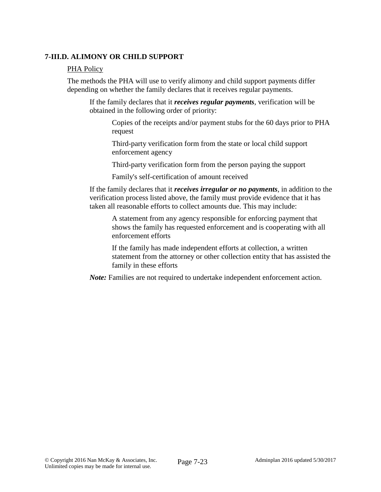### **7-III.D. ALIMONY OR CHILD SUPPORT**

#### PHA Policy

The methods the PHA will use to verify alimony and child support payments differ depending on whether the family declares that it receives regular payments.

If the family declares that it *receives regular payments*, verification will be obtained in the following order of priority:

Copies of the receipts and/or payment stubs for the 60 days prior to PHA request

Third-party verification form from the state or local child support enforcement agency

Third-party verification form from the person paying the support

Family's self-certification of amount received

If the family declares that it *receives irregular or no payments*, in addition to the verification process listed above, the family must provide evidence that it has taken all reasonable efforts to collect amounts due. This may include:

A statement from any agency responsible for enforcing payment that shows the family has requested enforcement and is cooperating with all enforcement efforts

If the family has made independent efforts at collection, a written statement from the attorney or other collection entity that has assisted the family in these efforts

*Note:* Families are not required to undertake independent enforcement action.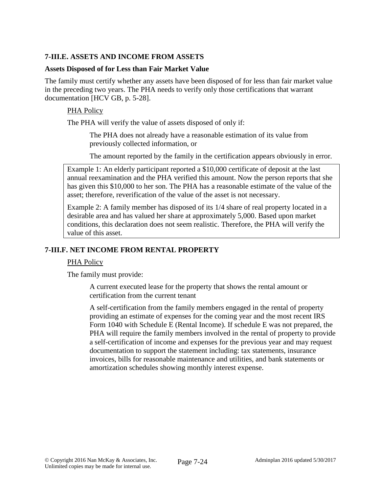# **7-III.E. ASSETS AND INCOME FROM ASSETS**

#### **Assets Disposed of for Less than Fair Market Value**

The family must certify whether any assets have been disposed of for less than fair market value in the preceding two years. The PHA needs to verify only those certifications that warrant documentation [HCV GB, p. 5-28].

### PHA Policy

The PHA will verify the value of assets disposed of only if:

The PHA does not already have a reasonable estimation of its value from previously collected information, or

The amount reported by the family in the certification appears obviously in error.

Example 1: An elderly participant reported a \$10,000 certificate of deposit at the last annual reexamination and the PHA verified this amount. Now the person reports that she has given this \$10,000 to her son. The PHA has a reasonable estimate of the value of the asset; therefore, reverification of the value of the asset is not necessary.

Example 2: A family member has disposed of its 1/4 share of real property located in a desirable area and has valued her share at approximately 5,000. Based upon market conditions, this declaration does not seem realistic. Therefore, the PHA will verify the value of this asset.

### **7-III.F. NET INCOME FROM RENTAL PROPERTY**

#### PHA Policy

The family must provide:

A current executed lease for the property that shows the rental amount or certification from the current tenant

A self-certification from the family members engaged in the rental of property providing an estimate of expenses for the coming year and the most recent IRS Form 1040 with Schedule E (Rental Income). If schedule E was not prepared, the PHA will require the family members involved in the rental of property to provide a self-certification of income and expenses for the previous year and may request documentation to support the statement including: tax statements, insurance invoices, bills for reasonable maintenance and utilities, and bank statements or amortization schedules showing monthly interest expense.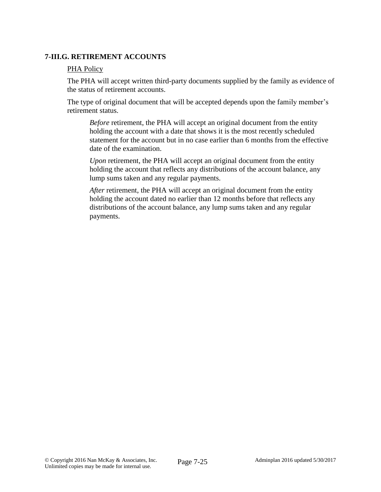### **7-III.G. RETIREMENT ACCOUNTS**

#### PHA Policy

The PHA will accept written third-party documents supplied by the family as evidence of the status of retirement accounts.

The type of original document that will be accepted depends upon the family member's retirement status.

*Before* retirement, the PHA will accept an original document from the entity holding the account with a date that shows it is the most recently scheduled statement for the account but in no case earlier than 6 months from the effective date of the examination.

*Upon* retirement, the PHA will accept an original document from the entity holding the account that reflects any distributions of the account balance, any lump sums taken and any regular payments.

*After* retirement, the PHA will accept an original document from the entity holding the account dated no earlier than 12 months before that reflects any distributions of the account balance, any lump sums taken and any regular payments.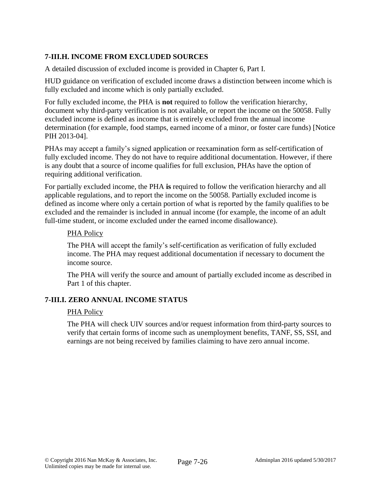# **7-III.H. INCOME FROM EXCLUDED SOURCES**

A detailed discussion of excluded income is provided in Chapter 6, Part I.

HUD guidance on verification of excluded income draws a distinction between income which is fully excluded and income which is only partially excluded.

For fully excluded income, the PHA is **not** required to follow the verification hierarchy, document why third-party verification is not available, or report the income on the 50058. Fully excluded income is defined as income that is entirely excluded from the annual income determination (for example, food stamps, earned income of a minor, or foster care funds) [Notice PIH 2013-04].

PHAs may accept a family's signed application or reexamination form as self-certification of fully excluded income. They do not have to require additional documentation. However, if there is any doubt that a source of income qualifies for full exclusion, PHAs have the option of requiring additional verification.

For partially excluded income, the PHA **is** required to follow the verification hierarchy and all applicable regulations, and to report the income on the 50058. Partially excluded income is defined as income where only a certain portion of what is reported by the family qualifies to be excluded and the remainder is included in annual income (for example, the income of an adult full-time student, or income excluded under the earned income disallowance).

#### PHA Policy

The PHA will accept the family's self-certification as verification of fully excluded income. The PHA may request additional documentation if necessary to document the income source.

The PHA will verify the source and amount of partially excluded income as described in Part 1 of this chapter.

#### **7-III.I. ZERO ANNUAL INCOME STATUS**

#### PHA Policy

The PHA will check UIV sources and/or request information from third-party sources to verify that certain forms of income such as unemployment benefits, TANF, SS, SSI, and earnings are not being received by families claiming to have zero annual income.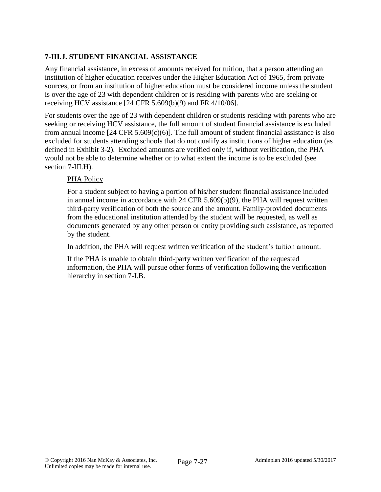# **7-III.J. STUDENT FINANCIAL ASSISTANCE**

Any financial assistance, in excess of amounts received for tuition, that a person attending an institution of higher education receives under the Higher Education Act of 1965, from private sources, or from an institution of higher education must be considered income unless the student is over the age of 23 with dependent children or is residing with parents who are seeking or receiving HCV assistance [24 CFR 5.609(b)(9) and FR 4/10/06].

For students over the age of 23 with dependent children or students residing with parents who are seeking or receiving HCV assistance, the full amount of student financial assistance is excluded from annual income  $[24 \text{ CFR } 5.609(c)(6)]$ . The full amount of student financial assistance is also excluded for students attending schools that do not qualify as institutions of higher education (as defined in Exhibit 3-2). Excluded amounts are verified only if, without verification, the PHA would not be able to determine whether or to what extent the income is to be excluded (see section 7-III.H).

### PHA Policy

For a student subject to having a portion of his/her student financial assistance included in annual income in accordance with 24 CFR 5.609(b)(9), the PHA will request written third-party verification of both the source and the amount. Family-provided documents from the educational institution attended by the student will be requested, as well as documents generated by any other person or entity providing such assistance, as reported by the student.

In addition, the PHA will request written verification of the student's tuition amount.

If the PHA is unable to obtain third-party written verification of the requested information, the PHA will pursue other forms of verification following the verification hierarchy in section 7-I.B.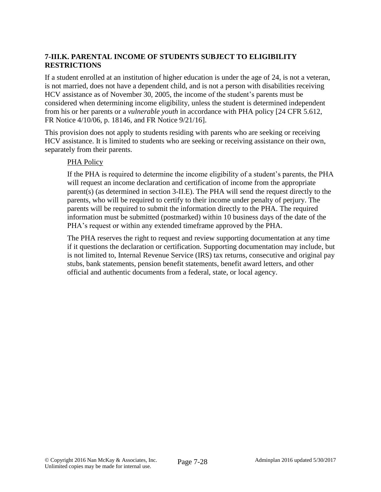# **7-III.K. PARENTAL INCOME OF STUDENTS SUBJECT TO ELIGIBILITY RESTRICTIONS**

If a student enrolled at an institution of higher education is under the age of 24, is not a veteran, is not married, does not have a dependent child, and is not a person with disabilities receiving HCV assistance as of November 30, 2005, the income of the student's parents must be considered when determining income eligibility, unless the student is determined independent from his or her parents or a *vulnerable youth* in accordance with PHA policy [24 CFR 5.612, FR Notice 4/10/06, p. 18146, and FR Notice 9/21/16].

This provision does not apply to students residing with parents who are seeking or receiving HCV assistance. It is limited to students who are seeking or receiving assistance on their own, separately from their parents.

#### PHA Policy

If the PHA is required to determine the income eligibility of a student's parents, the PHA will request an income declaration and certification of income from the appropriate parent(s) (as determined in section 3-II.E). The PHA will send the request directly to the parents, who will be required to certify to their income under penalty of perjury. The parents will be required to submit the information directly to the PHA. The required information must be submitted (postmarked) within 10 business days of the date of the PHA's request or within any extended timeframe approved by the PHA.

The PHA reserves the right to request and review supporting documentation at any time if it questions the declaration or certification. Supporting documentation may include, but is not limited to, Internal Revenue Service (IRS) tax returns, consecutive and original pay stubs, bank statements, pension benefit statements, benefit award letters, and other official and authentic documents from a federal, state, or local agency.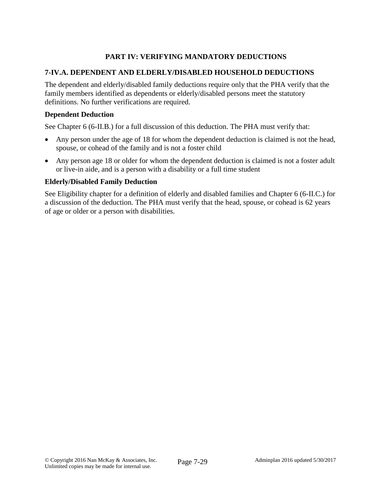# **PART IV: VERIFYING MANDATORY DEDUCTIONS**

### **7-IV.A. DEPENDENT AND ELDERLY/DISABLED HOUSEHOLD DEDUCTIONS**

The dependent and elderly/disabled family deductions require only that the PHA verify that the family members identified as dependents or elderly/disabled persons meet the statutory definitions. No further verifications are required.

#### **Dependent Deduction**

See Chapter 6 (6-II.B.) for a full discussion of this deduction. The PHA must verify that:

- Any person under the age of 18 for whom the dependent deduction is claimed is not the head, spouse, or cohead of the family and is not a foster child
- Any person age 18 or older for whom the dependent deduction is claimed is not a foster adult or live-in aide, and is a person with a disability or a full time student

#### **Elderly/Disabled Family Deduction**

See Eligibility chapter for a definition of elderly and disabled families and Chapter 6 (6-II.C.) for a discussion of the deduction. The PHA must verify that the head, spouse, or cohead is 62 years of age or older or a person with disabilities.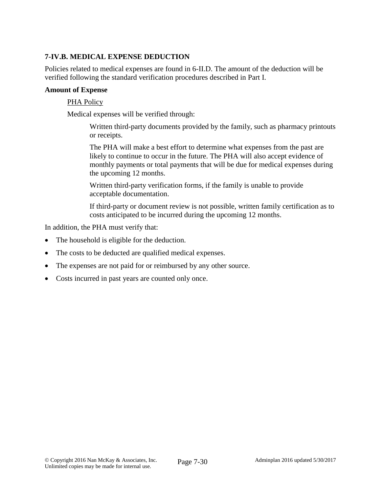# **7-IV.B. MEDICAL EXPENSE DEDUCTION**

Policies related to medical expenses are found in 6-II.D. The amount of the deduction will be verified following the standard verification procedures described in Part I.

#### **Amount of Expense**

#### PHA Policy

Medical expenses will be verified through:

Written third-party documents provided by the family, such as pharmacy printouts or receipts.

The PHA will make a best effort to determine what expenses from the past are likely to continue to occur in the future. The PHA will also accept evidence of monthly payments or total payments that will be due for medical expenses during the upcoming 12 months.

Written third-party verification forms, if the family is unable to provide acceptable documentation.

If third-party or document review is not possible, written family certification as to costs anticipated to be incurred during the upcoming 12 months.

In addition, the PHA must verify that:

- The household is eligible for the deduction.
- The costs to be deducted are qualified medical expenses.
- The expenses are not paid for or reimbursed by any other source.
- Costs incurred in past years are counted only once.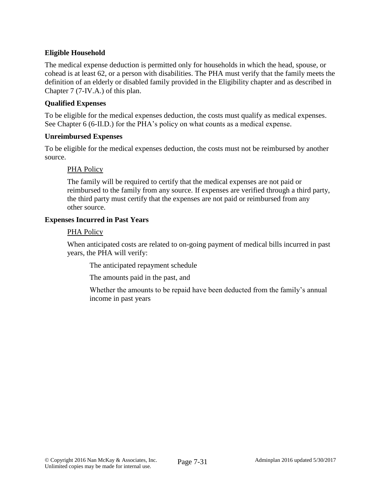# **Eligible Household**

The medical expense deduction is permitted only for households in which the head, spouse, or cohead is at least 62, or a person with disabilities. The PHA must verify that the family meets the definition of an elderly or disabled family provided in the Eligibility chapter and as described in Chapter 7 (7-IV.A.) of this plan.

### **Qualified Expenses**

To be eligible for the medical expenses deduction, the costs must qualify as medical expenses. See Chapter 6 (6-II.D.) for the PHA's policy on what counts as a medical expense.

#### **Unreimbursed Expenses**

To be eligible for the medical expenses deduction, the costs must not be reimbursed by another source.

### PHA Policy

The family will be required to certify that the medical expenses are not paid or reimbursed to the family from any source. If expenses are verified through a third party, the third party must certify that the expenses are not paid or reimbursed from any other source.

#### **Expenses Incurred in Past Years**

#### PHA Policy

When anticipated costs are related to on-going payment of medical bills incurred in past years, the PHA will verify:

The anticipated repayment schedule

The amounts paid in the past, and

Whether the amounts to be repaid have been deducted from the family's annual income in past years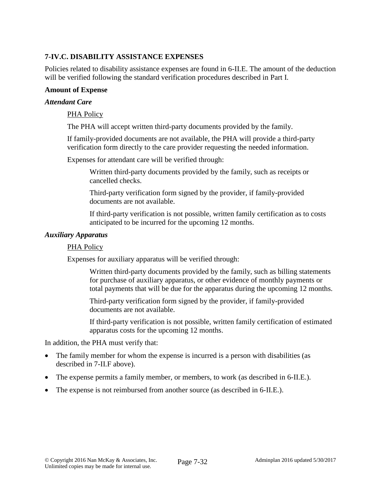# **7-IV.C. DISABILITY ASSISTANCE EXPENSES**

Policies related to disability assistance expenses are found in 6-II.E. The amount of the deduction will be verified following the standard verification procedures described in Part I.

#### **Amount of Expense**

#### *Attendant Care*

#### PHA Policy

The PHA will accept written third-party documents provided by the family.

If family-provided documents are not available, the PHA will provide a third-party verification form directly to the care provider requesting the needed information.

Expenses for attendant care will be verified through:

Written third-party documents provided by the family, such as receipts or cancelled checks.

Third-party verification form signed by the provider, if family-provided documents are not available.

If third-party verification is not possible, written family certification as to costs anticipated to be incurred for the upcoming 12 months.

#### *Auxiliary Apparatus*

#### PHA Policy

Expenses for auxiliary apparatus will be verified through:

Written third-party documents provided by the family, such as billing statements for purchase of auxiliary apparatus, or other evidence of monthly payments or total payments that will be due for the apparatus during the upcoming 12 months.

Third-party verification form signed by the provider, if family-provided documents are not available.

If third-party verification is not possible, written family certification of estimated apparatus costs for the upcoming 12 months.

In addition, the PHA must verify that:

- The family member for whom the expense is incurred is a person with disabilities (as described in 7-II.F above).
- The expense permits a family member, or members, to work (as described in 6-II.E.).
- The expense is not reimbursed from another source (as described in 6-II.E.).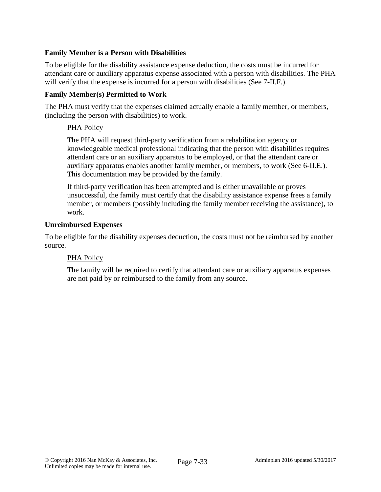### **Family Member is a Person with Disabilities**

To be eligible for the disability assistance expense deduction, the costs must be incurred for attendant care or auxiliary apparatus expense associated with a person with disabilities. The PHA will verify that the expense is incurred for a person with disabilities (See 7-II.F.).

### **Family Member(s) Permitted to Work**

The PHA must verify that the expenses claimed actually enable a family member, or members, (including the person with disabilities) to work.

### PHA Policy

The PHA will request third-party verification from a rehabilitation agency or knowledgeable medical professional indicating that the person with disabilities requires attendant care or an auxiliary apparatus to be employed, or that the attendant care or auxiliary apparatus enables another family member, or members, to work (See 6-II.E.). This documentation may be provided by the family.

If third-party verification has been attempted and is either unavailable or proves unsuccessful, the family must certify that the disability assistance expense frees a family member, or members (possibly including the family member receiving the assistance), to work.

#### **Unreimbursed Expenses**

To be eligible for the disability expenses deduction, the costs must not be reimbursed by another source.

### PHA Policy

The family will be required to certify that attendant care or auxiliary apparatus expenses are not paid by or reimbursed to the family from any source.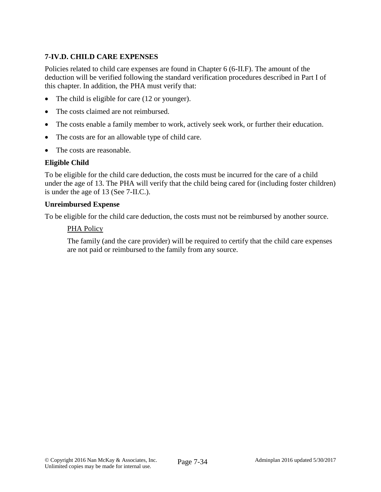# **7-IV.D. CHILD CARE EXPENSES**

Policies related to child care expenses are found in Chapter 6 (6-II.F). The amount of the deduction will be verified following the standard verification procedures described in Part I of this chapter. In addition, the PHA must verify that:

- The child is eligible for care (12 or younger).
- The costs claimed are not reimbursed.
- The costs enable a family member to work, actively seek work, or further their education.
- The costs are for an allowable type of child care.
- The costs are reasonable.

#### **Eligible Child**

To be eligible for the child care deduction, the costs must be incurred for the care of a child under the age of 13. The PHA will verify that the child being cared for (including foster children) is under the age of 13 (See 7-II.C.).

#### **Unreimbursed Expense**

To be eligible for the child care deduction, the costs must not be reimbursed by another source.

#### PHA Policy

The family (and the care provider) will be required to certify that the child care expenses are not paid or reimbursed to the family from any source.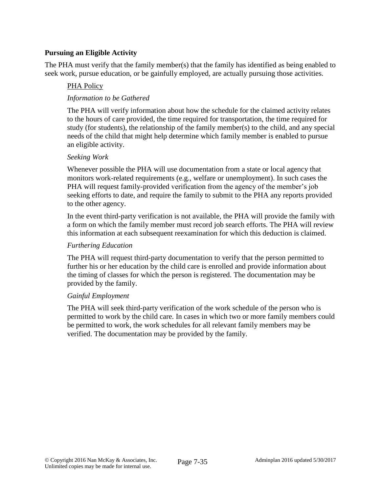## **Pursuing an Eligible Activity**

The PHA must verify that the family member(s) that the family has identified as being enabled to seek work, pursue education, or be gainfully employed, are actually pursuing those activities.

### PHA Policy

### *Information to be Gathered*

The PHA will verify information about how the schedule for the claimed activity relates to the hours of care provided, the time required for transportation, the time required for study (for students), the relationship of the family member(s) to the child, and any special needs of the child that might help determine which family member is enabled to pursue an eligible activity.

#### *Seeking Work*

Whenever possible the PHA will use documentation from a state or local agency that monitors work-related requirements (e.g., welfare or unemployment). In such cases the PHA will request family-provided verification from the agency of the member's job seeking efforts to date, and require the family to submit to the PHA any reports provided to the other agency.

In the event third-party verification is not available, the PHA will provide the family with a form on which the family member must record job search efforts. The PHA will review this information at each subsequent reexamination for which this deduction is claimed.

#### *Furthering Education*

The PHA will request third-party documentation to verify that the person permitted to further his or her education by the child care is enrolled and provide information about the timing of classes for which the person is registered. The documentation may be provided by the family.

#### *Gainful Employment*

The PHA will seek third-party verification of the work schedule of the person who is permitted to work by the child care. In cases in which two or more family members could be permitted to work, the work schedules for all relevant family members may be verified. The documentation may be provided by the family.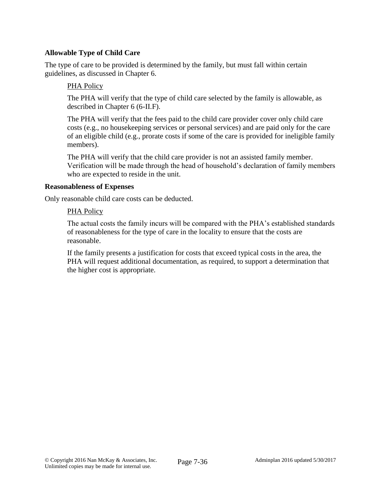### **Allowable Type of Child Care**

The type of care to be provided is determined by the family, but must fall within certain guidelines, as discussed in Chapter 6.

#### PHA Policy

The PHA will verify that the type of child care selected by the family is allowable, as described in Chapter 6 (6-II.F).

The PHA will verify that the fees paid to the child care provider cover only child care costs (e.g., no housekeeping services or personal services) and are paid only for the care of an eligible child (e.g., prorate costs if some of the care is provided for ineligible family members).

The PHA will verify that the child care provider is not an assisted family member. Verification will be made through the head of household's declaration of family members who are expected to reside in the unit.

#### **Reasonableness of Expenses**

Only reasonable child care costs can be deducted.

#### PHA Policy

The actual costs the family incurs will be compared with the PHA's established standards of reasonableness for the type of care in the locality to ensure that the costs are reasonable.

If the family presents a justification for costs that exceed typical costs in the area, the PHA will request additional documentation, as required, to support a determination that the higher cost is appropriate.